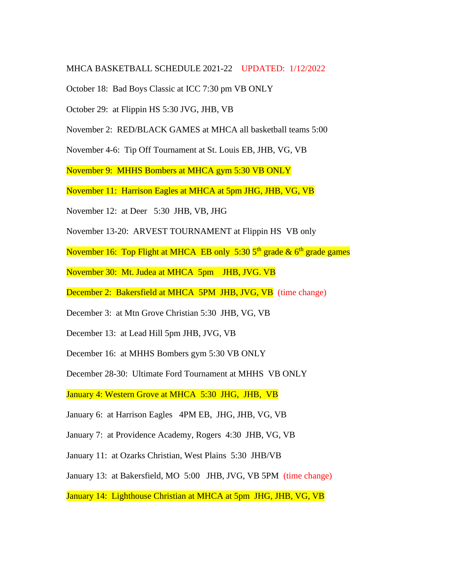## MHCA BASKETBALL SCHEDULE 2021-22 UPDATED: 1/12/2022

October 18: Bad Boys Classic at ICC 7:30 pm VB ONLY

October 29: at Flippin HS 5:30 JVG, JHB, VB

November 2: RED/BLACK GAMES at MHCA all basketball teams 5:00

November 4-6: Tip Off Tournament at St. Louis EB, JHB, VG, VB

November 9: MHHS Bombers at MHCA gym 5:30 VB ONLY

November 11: Harrison Eagles at MHCA at 5pm JHG, JHB, VG, VB

November 12: at Deer 5:30 JHB, VB, JHG

November 13-20: ARVEST TOURNAMENT at Flippin HS VB only

November 16: Top Flight at MHCA EB only 5:30 5<sup>th</sup> grade & 6<sup>th</sup> grade games

November 30: Mt. Judea at MHCA 5pm JHB, JVG. VB

December 2: Bakersfield at MHCA 5PM JHB, JVG, VB (time change)

December 3: at Mtn Grove Christian 5:30 JHB, VG, VB

December 13: at Lead Hill 5pm JHB, JVG, VB

December 16: at MHHS Bombers gym 5:30 VB ONLY

December 28-30: Ultimate Ford Tournament at MHHS VB ONLY

January 4: Western Grove at MHCA 5:30 JHG, JHB, VB

January 6: at Harrison Eagles 4PM EB, JHG, JHB, VG, VB

January 7: at Providence Academy, Rogers 4:30 JHB, VG, VB

January 11: at Ozarks Christian, West Plains 5:30 JHB/VB

January 13: at Bakersfield, MO 5:00 JHB, JVG, VB 5PM (time change)

January 14: Lighthouse Christian at MHCA at 5pm JHG, JHB, VG, VB